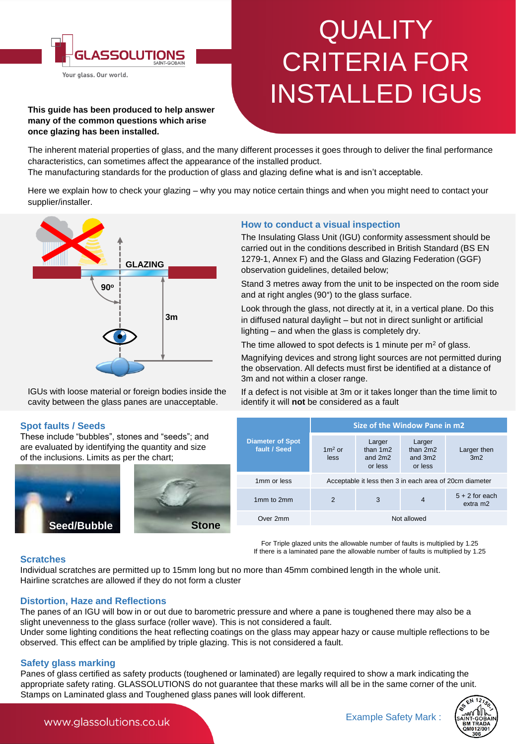

# **QUALITY** CRITERIA FOR INSTALLED IGUs

#### **This guide has been produced to help answer many of the common questions which arise once glazing has been installed.**

The inherent material properties of glass, and the many different processes it goes through to deliver the final performance characteristics, can sometimes affect the appearance of the installed product.

The manufacturing standards for the production of glass and glazing define what is and isn't acceptable.

Here we explain how to check your glazing – why you may notice certain things and when you might need to contact your supplier/installer.



IGUs with loose material or foreign bodies inside the cavity between the glass panes are unacceptable.

# **Spot faults / Seeds**

These include "bubbles", stones and "seeds"; and are evaluated by identifying the quantity and size of the inclusions. Limits as per the chart;





# **How to conduct a visual inspection**

The Insulating Glass Unit (IGU) conformity assessment should be carried out in the conditions described in British Standard (BS EN 1279-1, Annex F) and the Glass and Glazing Federation (GGF) observation guidelines, detailed below;

Stand 3 metres away from the unit to be inspected on the room side and at right angles (90°) to the glass surface.

Look through the glass, not directly at it, in a vertical plane. Do this in diffused natural daylight – but not in direct sunlight or artificial lighting – and when the glass is completely dry.

The time allowed to spot defects is 1 minute per  $m<sup>2</sup>$  of glass.

Magnifying devices and strong light sources are not permitted during the observation. All defects must first be identified at a distance of 3m and not within a closer range.

If a defect is not visible at 3m or it takes longer than the time limit to identify it will **not** be considered as a fault

|                                         | Size of the Window Pane in m2                           |                                            |                                            |                              |
|-----------------------------------------|---------------------------------------------------------|--------------------------------------------|--------------------------------------------|------------------------------|
| <b>Diameter of Spot</b><br>fault / Seed | $1m2$ or<br>less                                        | Larger<br>than $1m2$<br>and 2m2<br>or less | Larger<br>than $2m2$<br>and 3m2<br>or less | Larger then<br>3m2           |
| 1mm or less                             | Acceptable it less then 3 in each area of 20cm diameter |                                            |                                            |                              |
| 1mm to 2mm                              | $\overline{2}$                                          | 3                                          | $\overline{4}$                             | $5 + 2$ for each<br>extra m2 |
| Over 2mm                                | Not allowed                                             |                                            |                                            |                              |

For Triple glazed units the allowable number of faults is multiplied by 1.25 If there is a laminated pane the allowable number of faults is multiplied by 1.25

# **Scratches**

Individual scratches are permitted up to 15mm long but no more than 45mm combined length in the whole unit. Hairline scratches are allowed if they do not form a cluster

# **Distortion, Haze and Reflections**

The panes of an IGU will bow in or out due to barometric pressure and where a pane is toughened there may also be a slight unevenness to the glass surface (roller wave). This is not considered a fault.

Under some lighting conditions the heat reflecting coatings on the glass may appear hazy or cause multiple reflections to be observed. This effect can be amplified by triple glazing. This is not considered a fault.

# **Safety glass marking**

Panes of glass certified as safety products (toughened or laminated) are legally required to show a mark indicating the appropriate safety rating. GLASSOLUTIONS do not guarantee that these marks will all be in the same corner of the unit. Stamps on Laminated glass and Toughened glass panes will look different.



www.glassolutions.co.uk